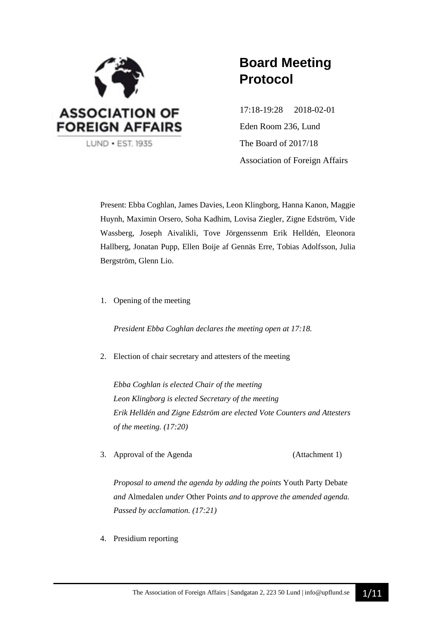

# **Board Meeting Protocol**

17:18-19:28 2018-02-01 Eden Room 236, Lund The Board of 2017/18 Association of Foreign Affairs

Present: Ebba Coghlan, James Davies, Leon Klingborg, Hanna Kanon, Maggie Huynh, Maximin Orsero, Soha Kadhim, Lovisa Ziegler, Zigne Edström, Vide Wassberg, Joseph Aivalikli, Tove Jörgenssenm Erik Helldén, Eleonora Hallberg, Jonatan Pupp, Ellen Boije af Gennäs Erre, Tobias Adolfsson, Julia Bergström, Glenn Lio.

1. Opening of the meeting

*President Ebba Coghlan declares the meeting open at 17:18.*

2. Election of chair secretary and attesters of the meeting

*Ebba Coghlan is elected Chair of the meeting Leon Klingborg is elected Secretary of the meeting Erik Helldén and Zigne Edström are elected Vote Counters and Attesters of the meeting. (17:20)*

3. Approval of the Agenda (Attachment 1)

*Proposal to amend the agenda by adding the points* Youth Party Debate *and* Almedalen *under* Other Points *and to approve the amended agenda. Passed by acclamation. (17:21)*

4. Presidium reporting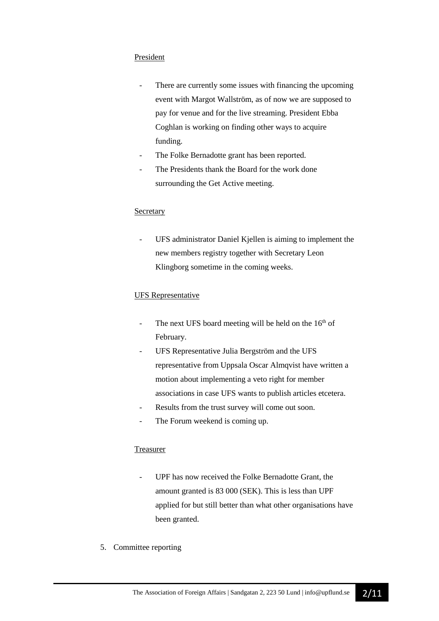#### President

- There are currently some issues with financing the upcoming event with Margot Wallström, as of now we are supposed to pay for venue and for the live streaming. President Ebba Coghlan is working on finding other ways to acquire funding.
- The Folke Bernadotte grant has been reported.
- The Presidents thank the Board for the work done surrounding the Get Active meeting.

#### **Secretary**

UFS administrator Daniel Kjellen is aiming to implement the new members registry together with Secretary Leon Klingborg sometime in the coming weeks.

#### UFS Representative

- The next UFS board meeting will be held on the  $16<sup>th</sup>$  of February.
- UFS Representative Julia Bergström and the UFS representative from Uppsala Oscar Almqvist have written a motion about implementing a veto right for member associations in case UFS wants to publish articles etcetera.
- Results from the trust survey will come out soon.
- The Forum weekend is coming up.

#### Treasurer

- UPF has now received the Folke Bernadotte Grant, the amount granted is 83 000 (SEK). This is less than UPF applied for but still better than what other organisations have been granted.
- 5. Committee reporting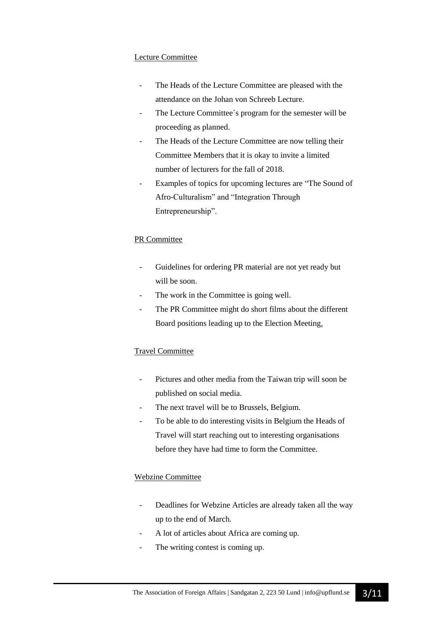#### Lecture Committee

- The Heads of the Lecture Committee are pleased with the attendance on the Johan von Schreeb Lecture.
- The Lecture Committee's program for the semester will be proceeding as planned.
- The Heads of the Lecture Committee are now telling their Committee Members that it is okay to invite a limited number of lecturers for the fall of 2018.
- Examples of topics for upcoming lectures are "The Sound of Afro-Culturalism" and "Integration Through Entrepreneurship".

### PR Committee

- Guidelines for ordering PR material are not yet ready but will be soon.
- The work in the Committee is going well.
- The PR Committee might do short films about the different Board positions leading up to the Election Meeting.

#### Travel Committee

- Pictures and other media from the Taiwan trip will soon be published on social media.
- The next travel will be to Brussels, Belgium.
- To be able to do interesting visits in Belgium the Heads of Travel will start reaching out to interesting organisations before they have had time to form the Committee.

## Webzine Committee

- Deadlines for Webzine Articles are already taken all the way up to the end of March.
- A lot of articles about Africa are coming up.
- The writing contest is coming up.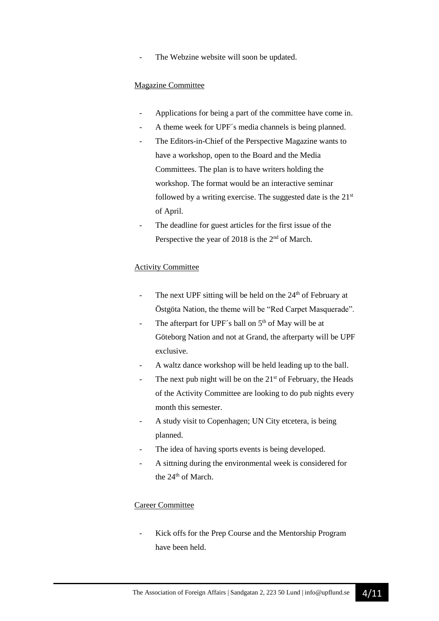The Webzine website will soon be updated.

#### Magazine Committee

- Applications for being a part of the committee have come in.
- A theme week for UPF's media channels is being planned.
- The Editors-in-Chief of the Perspective Magazine wants to have a workshop, open to the Board and the Media Committees. The plan is to have writers holding the workshop. The format would be an interactive seminar followed by a writing exercise. The suggested date is the  $21<sup>st</sup>$ of April.
- The deadline for guest articles for the first issue of the Perspective the year of 2018 is the  $2<sup>nd</sup>$  of March.

#### Activity Committee

- The next UPF sitting will be held on the 24<sup>th</sup> of February at Östgöta Nation, the theme will be "Red Carpet Masquerade".
- The afterpart for UPF's ball on  $5<sup>th</sup>$  of May will be at Göteborg Nation and not at Grand, the afterparty will be UPF exclusive.
- A waltz dance workshop will be held leading up to the ball.
- The next pub night will be on the  $21<sup>st</sup>$  of February, the Heads of the Activity Committee are looking to do pub nights every month this semester.
- A study visit to Copenhagen; UN City etcetera, is being planned.
- The idea of having sports events is being developed.
- A sittning during the environmental week is considered for the 24<sup>th</sup> of March.

#### Career Committee

Kick offs for the Prep Course and the Mentorship Program have been held.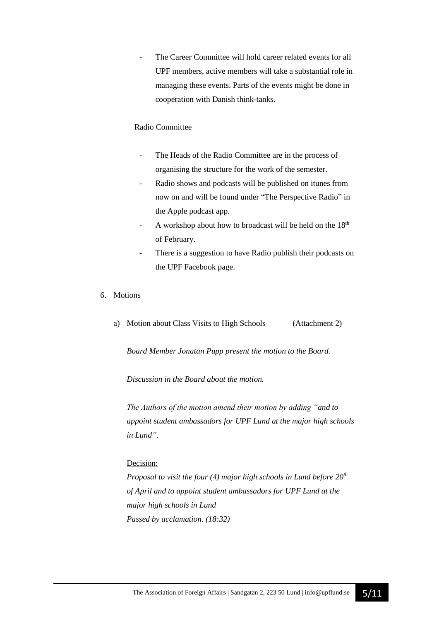The Career Committee will hold career related events for all UPF members, active members will take a substantial role in managing these events. Parts of the events might be done in cooperation with Danish think-tanks.

#### Radio Committee

- The Heads of the Radio Committee are in the process of organising the structure for the work of the semester.
- Radio shows and podcasts will be published on itunes from now on and will be found under "The Perspective Radio" in the Apple podcast app.
- A workshop about how to broadcast will be held on the 18<sup>th</sup> of February.
- There is a suggestion to have Radio publish their podcasts on the UPF Facebook page.
- 6. Motions
	- a) Motion about Class Visits to High Schools (Attachment 2)

*Board Member Jonatan Pupp present the motion to the Board.*

*Discussion in the Board about the motion.*

*The Authors of the motion amend their motion by adding "and to appoint student ambassadors for UPF Lund at the major high schools in Lund".*

#### Decision:

*Proposal to visit the four (4) major high schools in Lund before 20th of April and to appoint student ambassadors for UPF Lund at the major high schools in Lund Passed by acclamation. (18:32)*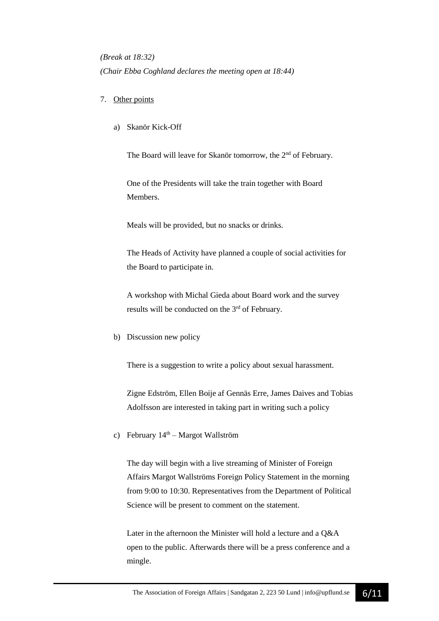*(Break at 18:32) (Chair Ebba Coghland declares the meeting open at 18:44)*

#### 7. Other points

a) Skanör Kick-Off

The Board will leave for Skanör tomorrow, the 2nd of February*.*

One of the Presidents will take the train together with Board Members.

Meals will be provided, but no snacks or drinks.

The Heads of Activity have planned a couple of social activities for the Board to participate in.

A workshop with Michal Gieda about Board work and the survey results will be conducted on the 3<sup>rd</sup> of February.

b) Discussion new policy

There is a suggestion to write a policy about sexual harassment.

Zigne Edström, Ellen Boije af Gennäs Erre, James Daives and Tobias Adolfsson are interested in taking part in writing such a policy

c) February  $14<sup>th</sup>$  – Margot Wallström

The day will begin with a live streaming of Minister of Foreign Affairs Margot Wallströms Foreign Policy Statement in the morning from 9:00 to 10:30. Representatives from the Department of Political Science will be present to comment on the statement.

Later in the afternoon the Minister will hold a lecture and a Q&A open to the public. Afterwards there will be a press conference and a mingle.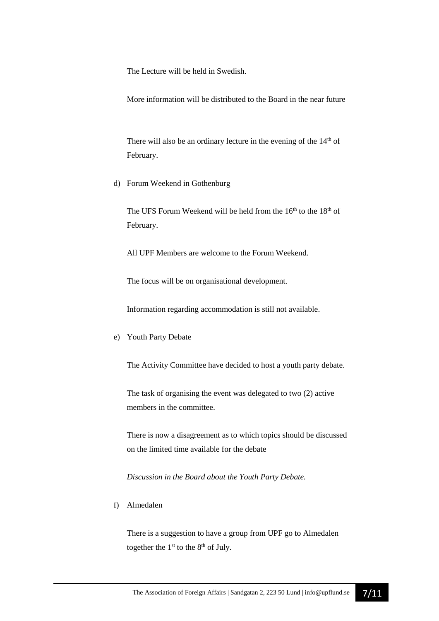The Lecture will be held in Swedish.

More information will be distributed to the Board in the near future

There will also be an ordinary lecture in the evening of the  $14<sup>th</sup>$  of February.

d) Forum Weekend in Gothenburg

The UFS Forum Weekend will be held from the 16<sup>th</sup> to the 18<sup>th</sup> of February.

All UPF Members are welcome to the Forum Weekend.

The focus will be on organisational development.

Information regarding accommodation is still not available.

e) Youth Party Debate

The Activity Committee have decided to host a youth party debate.

The task of organising the event was delegated to two (2) active members in the committee.

There is now a disagreement as to which topics should be discussed on the limited time available for the debate

*Discussion in the Board about the Youth Party Debate.*

f) Almedalen

There is a suggestion to have a group from UPF go to Almedalen together the  $1<sup>st</sup>$  to the  $8<sup>th</sup>$  of July.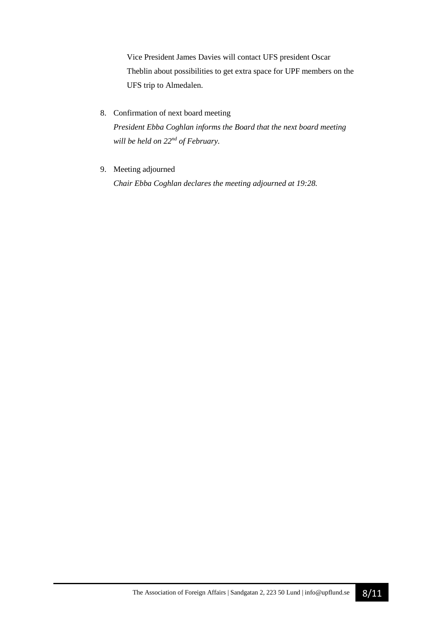Vice President James Davies will contact UFS president Oscar Theblin about possibilities to get extra space for UPF members on the UFS trip to Almedalen.

- 8. Confirmation of next board meeting *President Ebba Coghlan informs the Board that the next board meeting will be held on 22nd of February.*
- 9. Meeting adjourned

*Chair Ebba Coghlan declares the meeting adjourned at 19:28.*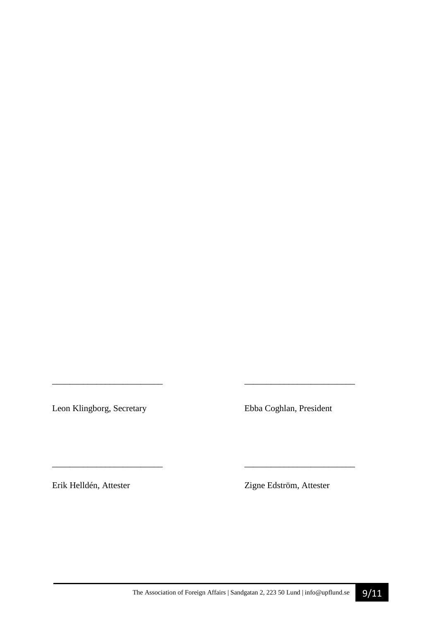Leon Klingborg, Secretary Ebba Coghlan, President

*\_\_\_\_\_\_\_\_\_\_\_\_\_\_\_\_\_\_\_\_\_\_\_\_\_ \_\_\_\_\_\_\_\_\_\_\_\_\_\_\_\_\_\_\_\_\_\_\_\_\_* 

\_\_\_\_\_\_\_\_\_\_\_\_\_\_\_\_\_\_\_\_\_\_\_\_\_ \_\_\_\_\_\_\_\_\_\_\_\_\_\_\_\_\_\_\_\_\_\_\_\_\_

Erik Helldén, Attester Zigne Edström, Attester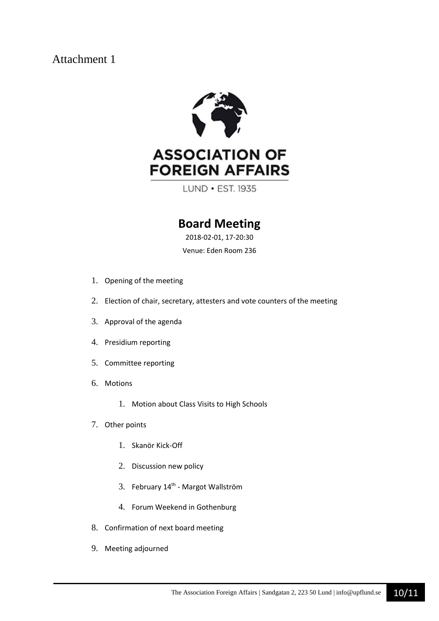# Attachment 1



LUND • EST. 1935

# **Board Meeting**

2018-02-01, 17-20:30

Venue: Eden Room 236

- 1. Opening of the meeting
- 2. Election of chair, secretary, attesters and vote counters of the meeting
- 3. Approval of the agenda
- 4. Presidium reporting
- 5. Committee reporting
- 6. Motions
	- 1. Motion about Class Visits to High Schools
- 7. Other points
	- 1. Skanör Kick-Off
	- 2. Discussion new policy
	- 3. February 14<sup>th</sup> Margot Wallström
	- 4. Forum Weekend in Gothenburg
- 8. Confirmation of next board meeting
- 9. Meeting adjourned